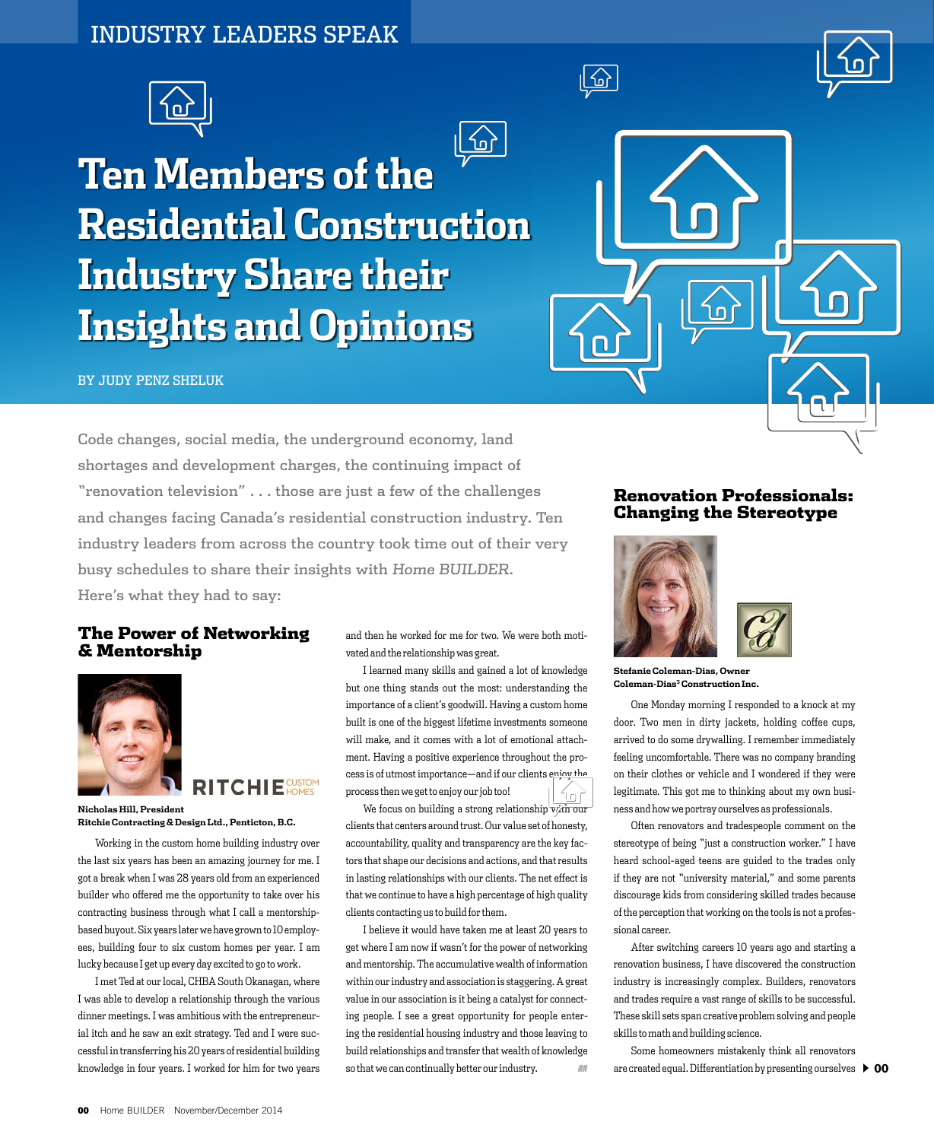# INDUSTRY LEADERS SPEAK



# **Ten Members of the Residential Construction Industry Share their Insights and Opinions**

#### BY JUDY PENZ SHELUK

Code changes, social media, the underground economy, land shortages and development charges, the continuing impact of "renovation television" . . . those are just a few of the challenges and changes facing Canada's residential construction industry. Ten industry leaders from across the country took time out of their very busy schedules to share their insights with Home BUILDER. Here's what they had to say:

### The Power of Networking & Mentorship

**Ritchie Contracting & Design Ltd., Penticton, B.C.**

Working in the custom home building industry over the last six years has been an amazing journey for me. I got a break when I was 28 years old from an experienced builder who offered me the opportunity to take over his contracting business through what I call a mentorshipbased buyout. Six years later we have grown to 10 employees, building four to six custom homes per year. I am lucky because I get up every day excited to go to work. I met Ted at our local, CHBA South Okanagan, where I was able to develop a relationship through the various dinner meetings. I was ambitious with the entrepreneurial itch and he saw an exit strategy. Ted and I were successful in transferring his 20 years of residential building knowledge in four years. I worked for him for two years

**RITCHIE** 



**Nicholas Hill, President**

and then he worked for me for two. We were both motivated and the relationship was great.

՜օ՝

I learned many skills and gained a lot of knowledge but one thing stands out the most: understanding the importance of a client's goodwill. Having a custom home built is one of the biggest lifetime investments someone will make, and it comes with a lot of emotional attachment. Having a positive experience throughout the process is of utmost importance—and if our clients enjoy the process then we get to enjoy our job too! ן<br>חומו

We focus on building a strong relationship  $\overrightarrow{v}/\overrightarrow{u}$  our clients that centers around trust. Our value set of honesty, accountability, quality and transparency are the key factors that shape our decisions and actions, and that results in lasting relationships with our clients. The net effect is that we continue to have a high percentage of high quality clients contacting us to build for them.

I believe it would have taken me at least 20 years to get where I am now if wasn't for the power of networking and mentorship. The accumulative wealth of information within our industry and association is staggering. A great value in our association is it being a catalyst for connecting people. I see a great opportunity for people entering the residential housing industry and those leaving to build relationships and transfer that wealth of knowledge so that we can continually better our industry.  $\Box$ 

## Renovation Professionals: Changing the Stereotype



 $\sqrt{2}$ 



**Stefanie Coleman-Dias, Owner Coleman-Dias3 Construction Inc.**

One Monday morning I responded to a knock at my door. Two men in dirty jackets, holding coffee cups, arrived to do some drywalling. I remember immediately feeling uncomfortable. There was no company branding on their clothes or vehicle and I wondered if they were legitimate. This got me to thinking about my own business and how we portray ourselves as professionals.

Often renovators and tradespeople comment on the stereotype of being "just a construction worker." I have heard school-aged teens are guided to the trades only if they are not "university material," and some parents discourage kids from considering skilled trades because of the perception that working on the tools is not a professional career.

After switching careers 10 years ago and starting a renovation business, I have discovered the construction industry is increasingly complex. Builders, renovators and trades require a vast range of skills to be successful. These skill sets span creative problem solving and people skills to math and building science.

are created equal. Differentiation by presenting ourselves  $\, \blacktriangleright \, 00$ Some homeowners mistakenly think all renovators

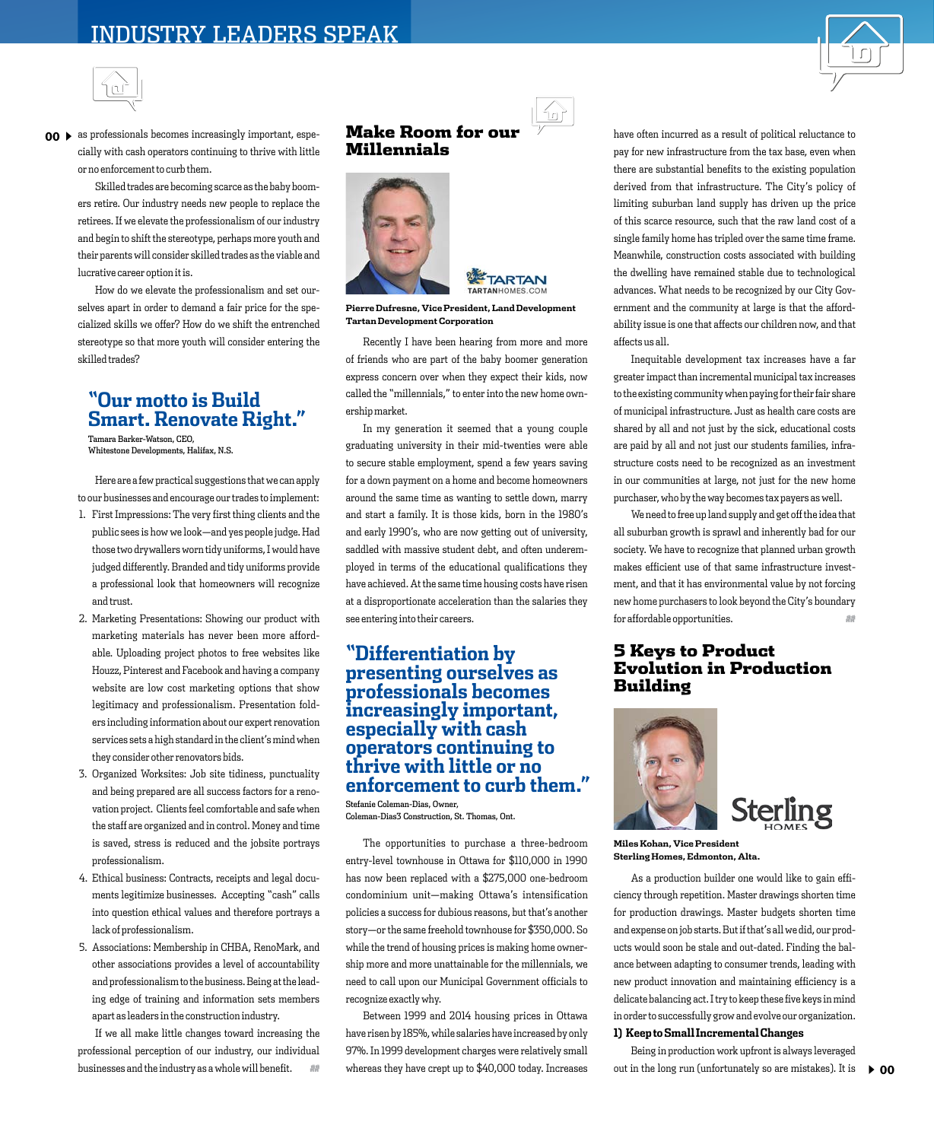



 $\textbf{00}\blacktriangleright$  as professionals becomes increasingly important, especially with cash operators continuing to thrive with little or no enforcement to curb them.

> Skilled trades are becoming scarce as the baby boomers retire. Our industry needs new people to replace the retirees. If we elevate the professionalism of our industry and begin to shift the stereotype, perhaps more youth and their parents will consider skilled trades as the viable and lucrative career option it is.

> How do we elevate the professionalism and set ourselves apart in order to demand a fair price for the specialized skills we offer? How do we shift the entrenched stereotype so that more youth will consider entering the skilled trades?

# **"Our motto is Build Smart. Renovate Right."**

Tamara Barker-Watson, CEO, Whitestone Developments, Halifax, N.S.

Here are a few practical suggestions that we can apply to our businesses and encourage our trades to implement:

- 1. First Impressions: The very first thing clients and the public sees is how we look—and yes people judge. Had those two drywallers worn tidy uniforms, I would have judged differently. Branded and tidy uniforms provide a professional look that homeowners will recognize and trust.
- 2. Marketing Presentations: Showing our product with marketing materials has never been more affordable. Uploading project photos to free websites like Houzz, Pinterest and Facebook and having a company website are low cost marketing options that show legitimacy and professionalism. Presentation folders including information about our expert renovation services sets a high standard in the client's mind when they consider other renovators bids.
- 3. Organized Worksites: Job site tidiness, punctuality and being prepared are all success factors for a renovation project. Clients feel comfortable and safe when the staff are organized and in control. Money and time is saved, stress is reduced and the jobsite portrays professionalism.
- 4. Ethical business: Contracts, receipts and legal documents legitimize businesses. Accepting "cash" calls into question ethical values and therefore portrays a lack of professionalism.
- 5. Associations: Membership in CHBA, RenoMark, and other associations provides a level of accountability and professionalism to the business. Being at the leading edge of training and information sets members apart as leaders in the construction industry.

If we all make little changes toward increasing the professional perception of our industry, our individual businesses and the industry as a whole will benefit.

## Make Room for our Millennials





**Pierre Dufresne, Vice President, Land Development Tartan Development Corporation**

Recently I have been hearing from more and more of friends who are part of the baby boomer generation express concern over when they expect their kids, now called the "millennials," to enter into the new home ownership market.

In my generation it seemed that a young couple graduating university in their mid-twenties were able to secure stable employment, spend a few years saving for a down payment on a home and become homeowners around the same time as wanting to settle down, marry and start a family. It is those kids, born in the 1980's and early 1990's, who are now getting out of university, saddled with massive student debt, and often underemployed in terms of the educational qualifications they have achieved. At the same time housing costs have risen at a disproportionate acceleration than the salaries they see entering into their careers.

## **"Differentiation by presenting ourselves as professionals becomes increasingly important, especially with cash operators continuing to thrive with little or no enforcement to curb them."**

Stefanie Coleman-Dias, Owner, Coleman-Dias3 Construction, St. Thomas, Ont.

The opportunities to purchase a three-bedroom entry-level townhouse in Ottawa for \$110,000 in 1990 has now been replaced with a \$275,000 one-bedroom condominium unit—making Ottawa's intensification policies a success for dubious reasons, but that's another story—or the same freehold townhouse for \$350,000. So while the trend of housing prices is making home ownership more and more unattainable for the millennials, we need to call upon our Municipal Government officials to recognize exactly why.

Between 1999 and 2014 housing prices in Ottawa have risen by 185%, while salaries have increased by only 97%. In 1999 development charges were relatively small whereas they have crept up to \$40,000 today. Increases have often incurred as a result of political reluctance to pay for new infrastructure from the tax base, even when there are substantial benefits to the existing population derived from that infrastructure. The City's policy of limiting suburban land supply has driven up the price of this scarce resource, such that the raw land cost of a single family home has tripled over the same time frame. Meanwhile, construction costs associated with building the dwelling have remained stable due to technological advances. What needs to be recognized by our City Government and the community at large is that the affordability issue is one that affects our children now, and that affects us all.

Inequitable development tax increases have a far greater impact than incremental municipal tax increases to the existing community when paying for their fair share of municipal infrastructure. Just as health care costs are shared by all and not just by the sick, educational costs are paid by all and not just our students families, infrastructure costs need to be recognized as an investment in our communities at large, not just for the new home purchaser, who by the way becomes tax payers as well.

We need to free up land supply and get off the idea that all suburban growth is sprawl and inherently bad for our society. We have to recognize that planned urban growth makes efficient use of that same infrastructure investment, and that it has environmental value by not forcing new home purchasers to look beyond the City's boundary for affordable opportunities.  $\blacksquare$ 

### 5 Keys to Product Evolution in Production Building



**Miles Kohan, Vice President Sterling Homes, Edmonton, Alta.**

As a production builder one would like to gain efficiency through repetition. Master drawings shorten time for production drawings. Master budgets shorten time and expense on job starts. But if that's all we did, our products would soon be stale and out-dated. Finding the balance between adapting to consumer trends, leading with new product innovation and maintaining efficiency is a delicate balancing act. I try to keep these five keys in mind in order to successfully grow and evolve our organization.

#### **1) Keep to Small Incremental Changes**

Being in production work upfront is always leveraged out in the long run (unfortunately so are mistakes). It is  $\rightarrow$  00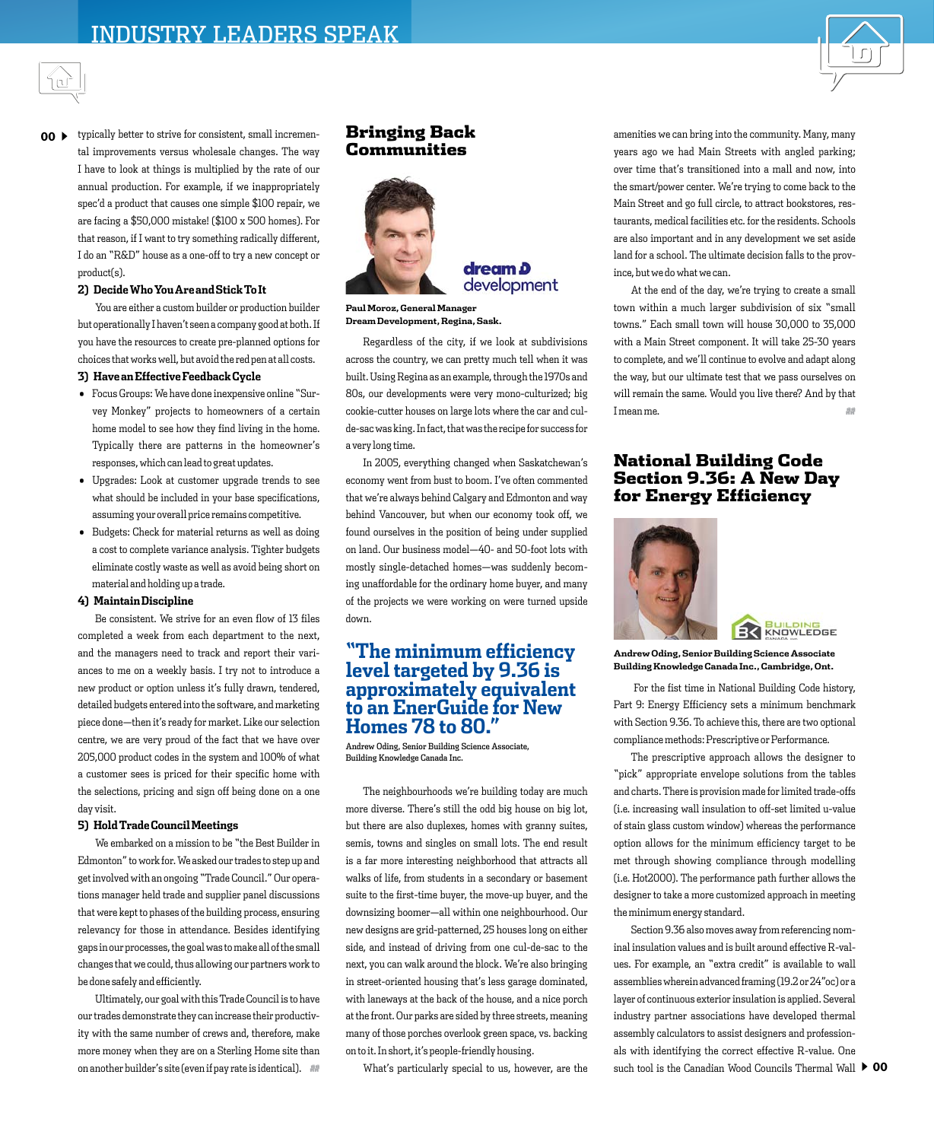



#### $00 \rightarrow$  typically better to strive for consistent, small incremental improvements versus wholesale changes. The way I have to look at things is multiplied by the rate of our annual production. For example, if we inappropriately spec'd a product that causes one simple \$100 repair, we are facing a \$50,000 mistake! (\$100 x 500 homes). For that reason, if I want to try something radically different, I do an "R&D" house as a one-off to try a new concept or product(s).

#### **2) Decide Who You Are and Stick To It**

You are either a custom builder or production builder but operationally I haven't seen a company good at both. If you have the resources to create pre-planned options for choices that works well, but avoid the red pen at all costs.

#### **3) Have an Effective Feedback Cycle**

- $\bullet$  Focus Groups: We have done inexpensive online "Survey Monkey" projects to homeowners of a certain home model to see how they find living in the home. Typically there are patterns in the homeowner's responses, which can lead to great updates.
- $\bullet$  Upgrades: Look at customer upgrade trends to see what should be included in your base specifications, assuming your overall price remains competitive.
- $\bullet$  Budgets: Check for material returns as well as doing a cost to complete variance analysis. Tighter budgets eliminate costly waste as well as avoid being short on material and holding up a trade.

#### **4) Maintain Discipline**

Be consistent. We strive for an even flow of 13 files completed a week from each department to the next, and the managers need to track and report their variances to me on a weekly basis. I try not to introduce a new product or option unless it's fully drawn, tendered, detailed budgets entered into the software, and marketing piece done—then it's ready for market. Like our selection centre, we are very proud of the fact that we have over 205,000 product codes in the system and 100% of what a customer sees is priced for their specific home with the selections, pricing and sign off being done on a one day visit.

#### **5) Hold Trade Council Meetings**

We embarked on a mission to be "the Best Builder in Edmonton" to work for. We asked our trades to step up and get involved with an ongoing "Trade Council." Our operations manager held trade and supplier panel discussions that were kept to phases of the building process, ensuring relevancy for those in attendance. Besides identifying gaps in our processes, the goal was to make all of the small changes that we could, thus allowing our partners work to be done safely and efficiently.

Ultimately, our goal with this Trade Council is to have our trades demonstrate they can increase their productivity with the same number of crews and, therefore, make more money when they are on a Sterling Home site than on another builder's site (even if pay rate is identical). ##

#### Bringing Back Communities





**Paul Moroz, General Manager Dream Development, Regina, Sask.**

Regardless of the city, if we look at subdivisions across the country, we can pretty much tell when it was built. Using Regina as an example, through the 1970s and 80s, our developments were very mono-culturized; big cookie-cutter houses on large lots where the car and culde-sac was king. In fact, that was the recipe for success for a very long time.

In 2005, everything changed when Saskatchewan's economy went from bust to boom. I've often commented that we're always behind Calgary and Edmonton and way behind Vancouver, but when our economy took off, we found ourselves in the position of being under supplied on land. Our business model—40- and 50-foot lots with mostly single-detached homes—was suddenly becoming unaffordable for the ordinary home buyer, and many of the projects we were working on were turned upside down.

## **"The minimum efficiency level targeted by 9.36 is approximately equivalent to an EnerGuide for New Homes 78 to 80."**

Andrew Oding, Senior Building Science Associate, Building Knowledge Canada Inc.

The neighbourhoods we're building today are much more diverse. There's still the odd big house on big lot, but there are also duplexes, homes with granny suites, semis, towns and singles on small lots. The end result is a far more interesting neighborhood that attracts all walks of life, from students in a secondary or basement suite to the first-time buyer, the move-up buyer, and the downsizing boomer—all within one neighbourhood. Our new designs are grid-patterned, 25 houses long on either side, and instead of driving from one cul-de-sac to the next, you can walk around the block. We're also bringing in street-oriented housing that's less garage dominated, with laneways at the back of the house, and a nice porch at the front. Our parks are sided by three streets, meaning many of those porches overlook green space, vs. backing on to it. In short, it's people-friendly housing.

What's particularly special to us, however, are the

amenities we can bring into the community. Many, many years ago we had Main Streets with angled parking; over time that's transitioned into a mall and now, into the smart/power center. We're trying to come back to the Main Street and go full circle, to attract bookstores, restaurants, medical facilities etc. for the residents. Schools are also important and in any development we set aside land for a school. The ultimate decision falls to the province, but we do what we can.

At the end of the day, we're trying to create a small town within a much larger subdivision of six "small towns." Each small town will house 30,000 to 35,000 with a Main Street component. It will take 25-30 years to complete, and we'll continue to evolve and adapt along the way, but our ultimate test that we pass ourselves on will remain the same. Would you live there? And by that I mean me.

#### National Building Code Section 9.36: A New Day for Energy Efficiency





**Andrew Oding, Senior Building Science Associate Building Knowledge Canada Inc., Cambridge, Ont.**

 For the fist time in National Building Code history, Part 9: Energy Efficiency sets a minimum benchmark with Section 9.36. To achieve this, there are two optional compliance methods: Prescriptive or Performance.

The prescriptive approach allows the designer to "pick" appropriate envelope solutions from the tables and charts. There is provision made for limited trade-offs (i.e. increasing wall insulation to off-set limited u-value of stain glass custom window) whereas the performance option allows for the minimum efficiency target to be met through showing compliance through modelling (i.e. Hot2000). The performance path further allows the designer to take a more customized approach in meeting the minimum energy standard.

Section 9.36 also moves away from referencing nominal insulation values and is built around effective R-values. For example, an "extra credit" is available to wall assemblies wherein advanced framing (19.2 or 24"oc) or a layer of continuous exterior insulation is applied. Several industry partner associations have developed thermal assembly calculators to assist designers and professionals with identifying the correct effective R-value. One such tool is the Canadian Wood Councils Thermal Wall  $\,blacktriangleright\,$  00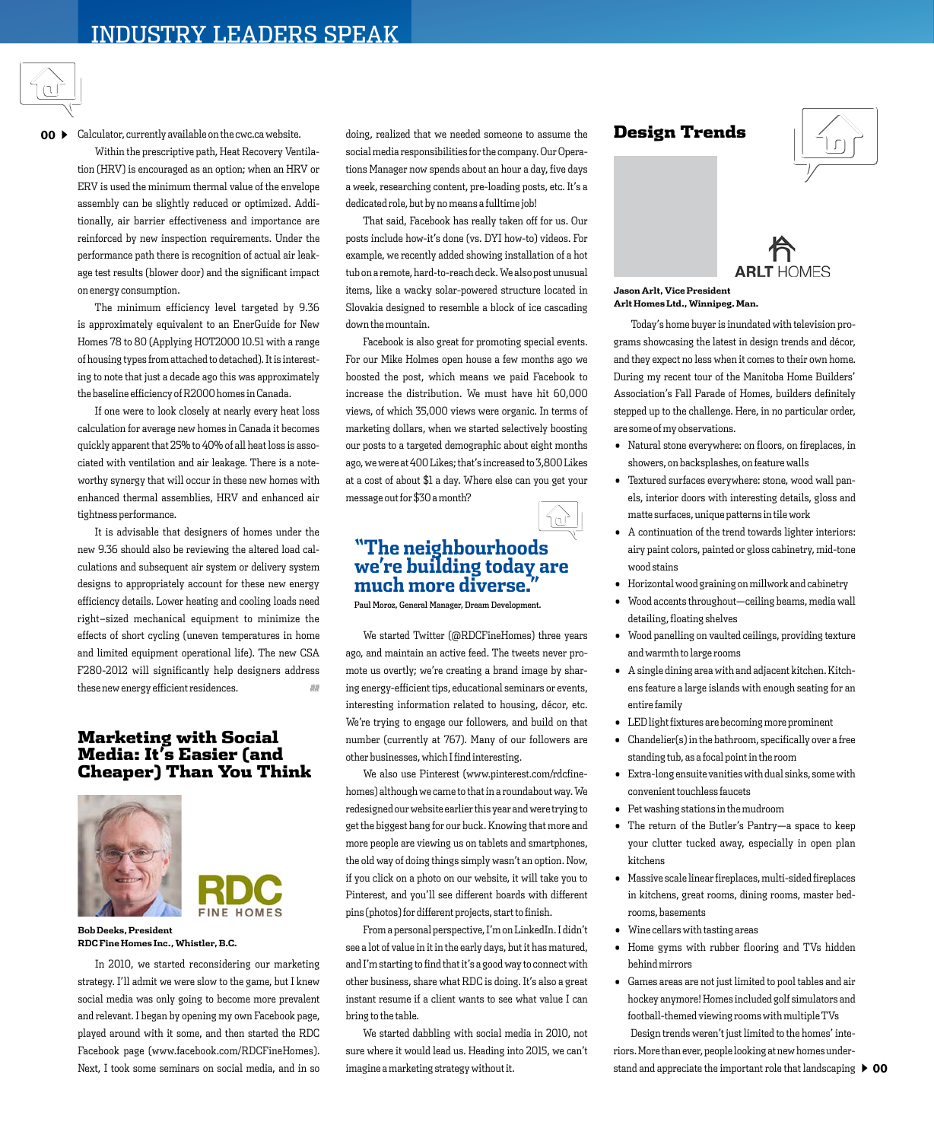

## 00  $\blacktriangleright$  Calculator, currently available on the cwc.ca website.

Within the prescriptive path, Heat Recovery Ventilation (HRV) is encouraged as an option; when an HRV or ERV is used the minimum thermal value of the envelope assembly can be slightly reduced or optimized. Additionally, air barrier effectiveness and importance are reinforced by new inspection requirements. Under the performance path there is recognition of actual air leakage test results (blower door) and the significant impact on energy consumption.

The minimum efficiency level targeted by 9.36 is approximately equivalent to an EnerGuide for New Homes 78 to 80 (Applying HOT2000 10.51 with a range of housing types from attached to detached). It is interesting to note that just a decade ago this was approximately the baseline efficiency of R2000 homes in Canada.

If one were to look closely at nearly every heat loss calculation for average new homes in Canada it becomes quickly apparent that 25% to 40% of all heat loss is associated with ventilation and air leakage. There is a noteworthy synergy that will occur in these new homes with enhanced thermal assemblies, HRV and enhanced air tightness performance.

It is advisable that designers of homes under the new 9.36 should also be reviewing the altered load calculations and subsequent air system or delivery system designs to appropriately account for these new energy efficiency details. Lower heating and cooling loads need right–sized mechanical equipment to minimize the effects of short cycling (uneven temperatures in home and limited equipment operational life). The new CSA F280-2012 will significantly help designers address these new energy efficient residences.  $\blacksquare$ 

### Marketing with Social Media: It's Easier (and Cheaper) Than You Think





**Bob Deeks, President RDC Fine Homes Inc., Whistler, B.C.**

In 2010, we started reconsidering our marketing strategy. I'll admit we were slow to the game, but I knew social media was only going to become more prevalent and relevant. I began by opening my own Facebook page, played around with it some, and then started the RDC Facebook page (www.facebook.com/RDCFineHomes). Next, I took some seminars on social media, and in so

doing, realized that we needed someone to assume the social media responsibilities for the company. Our Operations Manager now spends about an hour a day, five days a week, researching content, pre-loading posts, etc. It's a dedicated role, but by no means a fulltime job!

That said, Facebook has really taken off for us. Our posts include how-it's done (vs. DYI how-to) videos. For example, we recently added showing installation of a hot tub on a remote, hard-to-reach deck. We also post unusual items, like a wacky solar-powered structure located in Slovakia designed to resemble a block of ice cascading down the mountain.

Facebook is also great for promoting special events. For our Mike Holmes open house a few months ago we boosted the post, which means we paid Facebook to increase the distribution. We must have hit 60,000 views, of which 35,000 views were organic. In terms of marketing dollars, when we started selectively boosting our posts to a targeted demographic about eight months ago, we were at 400 Likes; that's increased to 3,800 Likes at a cost of about \$1 a day. Where else can you get your message out for \$30 a month?

# **"The neighbourhoods we're building today are much more diverse."**

íu)

Paul Moroz, General Manager, Dream Development.

We started Twitter (@RDCFineHomes) three years ago, and maintain an active feed. The tweets never promote us overtly; we're creating a brand image by sharing energy-efficient tips, educational seminars or events, interesting information related to housing, décor, etc. We're trying to engage our followers, and build on that number (currently at 767). Many of our followers are other businesses, which I find interesting.

We also use Pinterest (www.pinterest.com/rdcfinehomes) although we came to that in a roundabout way. We redesigned our website earlier this year and were trying to get the biggest bang for our buck. Knowing that more and more people are viewing us on tablets and smartphones, the old way of doing things simply wasn't an option. Now, if you click on a photo on our website, it will take you to Pinterest, and you'll see different boards with different pins (photos) for different projects, start to finish.

From a personal perspective, I'm on LinkedIn. I didn't see a lot of value in it in the early days, but it has matured, and I'm starting to find that it's a good way to connect with other business, share what RDC is doing. It's also a great instant resume if a client wants to see what value I can bring to the table.

We started dabbling with social media in 2010, not sure where it would lead us. Heading into 2015, we can't imagine a marketing strategy without it.

#### Design Trends



# **ARLT HOMES**

#### **Jason Arlt, Vice President Arlt Homes Ltd., Winnipeg. Man.**

Today's home buyer is inundated with television programs showcasing the latest in design trends and décor, and they expect no less when it comes to their own home. During my recent tour of the Manitoba Home Builders' Association's Fall Parade of Homes, builders definitely stepped up to the challenge. Here, in no particular order, are some of my observations.

- $\bullet$  Natural stone everywhere: on floors, on fireplaces, in showers, on backsplashes, on feature walls
- $\bullet$  Textured surfaces everywhere: stone, wood wall panels, interior doors with interesting details, gloss and matte surfaces, unique patterns in tile work
- $\bullet$  A continuation of the trend towards lighter interiors: airy paint colors, painted or gloss cabinetry, mid-tone wood stains
- $\bullet$  Horizontal wood graining on millwork and cabinetry
- $\bullet$  Wood accents throughout—ceiling beams, media wall detailing, floating shelves
- $\bullet$  Wood panelling on vaulted ceilings, providing texture and warmth to large rooms
- $\bullet$  A single dining area with and adjacent kitchen. Kitchens feature a large islands with enough seating for an entire family
- $\bullet$  LED light fixtures are becoming more prominent
- $Chandelier(s)$  in the bathroom, specifically over a free standing tub, as a focal point in the room
- $\bullet$  Extra-long ensuite vanities with dual sinks, some with convenient touchless faucets
- Pet washing stations in the mudroom
- $\bullet$  The return of the Butler's Pantry-a space to keep your clutter tucked away, especially in open plan kitchens
- $\bullet$  Massive scale linear fireplaces, multi-sided fireplaces in kitchens, great rooms, dining rooms, master bedrooms, basements
- $\bullet$  Wine cellars with tasting areas
- $\bullet$  Home gyms with rubber flooring and TVs hidden behind mirrors
- $\bullet$  Games areas are not just limited to pool tables and air hockey anymore! Homes included golf simulators and football-themed viewing rooms with multiple TVs

Design trends weren't just limited to the homes' interiors. More than ever, people looking at new homes understand and appreciate the important role that landscaping  $\,blacktriangleright\,$  00